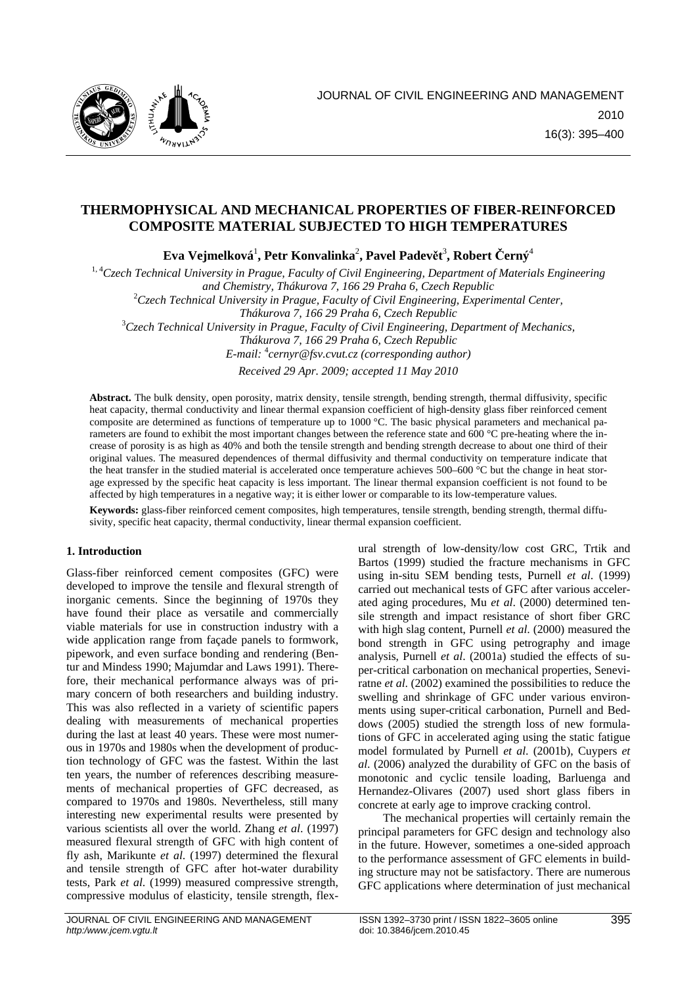

# **THERMOPHYSICAL AND MECHANICAL PROPERTIES OF FIBER-REINFORCED COMPOSITE MATERIAL SUBJECTED TO HIGH TEMPERATURES**

 ${\bf E}$ va Vejmelková $^1$ , Petr Konvalinka $^2$ , Pavel Padevět $^3$ , Robert Černý $^4$ 

<sup>1, 4</sup>Czech Technical University in Prague, Faculty of Civil Engineering, Department of Materials Engineering *and Chemistry, Thákurova 7, 166 29 Praha 6, Czech Republic* <sup>2</sup> *Czech Technical University in Prague, Faculty of Civil Engineering, Experimental Center, Thákurova 7, 166 29 Praha 6, Czech Republic* <sup>3</sup> *Czech Technical University in Prague, Faculty of Civil Engineering, Department of Mechanics,* 

*Thákurova 7, 166 29 Praha 6, Czech Republic E-mail:* <sup>4</sup> *cernyr@fsv.cvut.cz (corresponding author)* 

*Received 29 Apr. 2009; accepted 11 May 2010*

Abstract. The bulk density, open porosity, matrix density, tensile strength, bending strength, thermal diffusivity, specific heat capacity, thermal conductivity and linear thermal expansion coefficient of high-density glass fiber reinforced cement composite are determined as functions of temperature up to 1000 °C. The basic physical parameters and mechanical parameters are found to exhibit the most important changes between the reference state and 600 °C pre-heating where the increase of porosity is as high as 40% and both the tensile strength and bending strength decrease to about one third of their original values. The measured dependences of thermal diffusivity and thermal conductivity on temperature indicate that the heat transfer in the studied material is accelerated once temperature achieves 500–600 °C but the change in heat storage expressed by the specific heat capacity is less important. The linear thermal expansion coefficient is not found to be affected by high temperatures in a negative way; it is either lower or comparable to its low-temperature values.

**Keywords:** glass-fiber reinforced cement composites, high temperatures, tensile strength, bending strength, thermal diffusivity, specific heat capacity, thermal conductivity, linear thermal expansion coefficient.

# **1. Introduction**

Glass-fiber reinforced cement composites (GFC) were developed to improve the tensile and flexural strength of inorganic cements. Since the beginning of 1970s they have found their place as versatile and commercially viable materials for use in construction industry with a wide application range from façade panels to formwork, pipework, and even surface bonding and rendering (Bentur and Mindess 1990; Majumdar and Laws 1991). Therefore, their mechanical performance always was of primary concern of both researchers and building industry. This was also reflected in a variety of scientific papers dealing with measurements of mechanical properties during the last at least 40 years. These were most numerous in 1970s and 1980s when the development of production technology of GFC was the fastest. Within the last ten years, the number of references describing measurements of mechanical properties of GFC decreased, as compared to 1970s and 1980s. Nevertheless, still many interesting new experimental results were presented by various scientists all over the world. Zhang *et al*. (1997) measured flexural strength of GFC with high content of fly ash, Marikunte *et al*. (1997) determined the flexural and tensile strength of GFC after hot-water durability tests, Park *et al*. (1999) measured compressive strength, compressive modulus of elasticity, tensile strength, flexural strength of low-density/low cost GRC, Trtik and Bartos (1999) studied the fracture mechanisms in GFC using in-situ SEM bending tests, Purnell *et al*. (1999) carried out mechanical tests of GFC after various accelerated aging procedures, Mu *et al*. (2000) determined tensile strength and impact resistance of short fiber GRC with high slag content, Purnell *et al*. (2000) measured the bond strength in GFC using petrography and image analysis, Purnell *et al*. (2001a) studied the effects of super-critical carbonation on mechanical properties, Seneviratne *et al*. (2002) examined the possibilities to reduce the swelling and shrinkage of GFC under various environments using super-critical carbonation, Purnell and Beddows (2005) studied the strength loss of new formulations of GFC in accelerated aging using the static fatigue model formulated by Purnell *et al*. (2001b), Cuypers *et al*. (2006) analyzed the durability of GFC on the basis of monotonic and cyclic tensile loading, Barluenga and Hernandez-Olivares (2007) used short glass fibers in concrete at early age to improve cracking control.

The mechanical properties will certainly remain the principal parameters for GFC design and technology also in the future. However, sometimes a one-sided approach to the performance assessment of GFC elements in building structure may not be satisfactory. There are numerous GFC applications where determination of just mechanical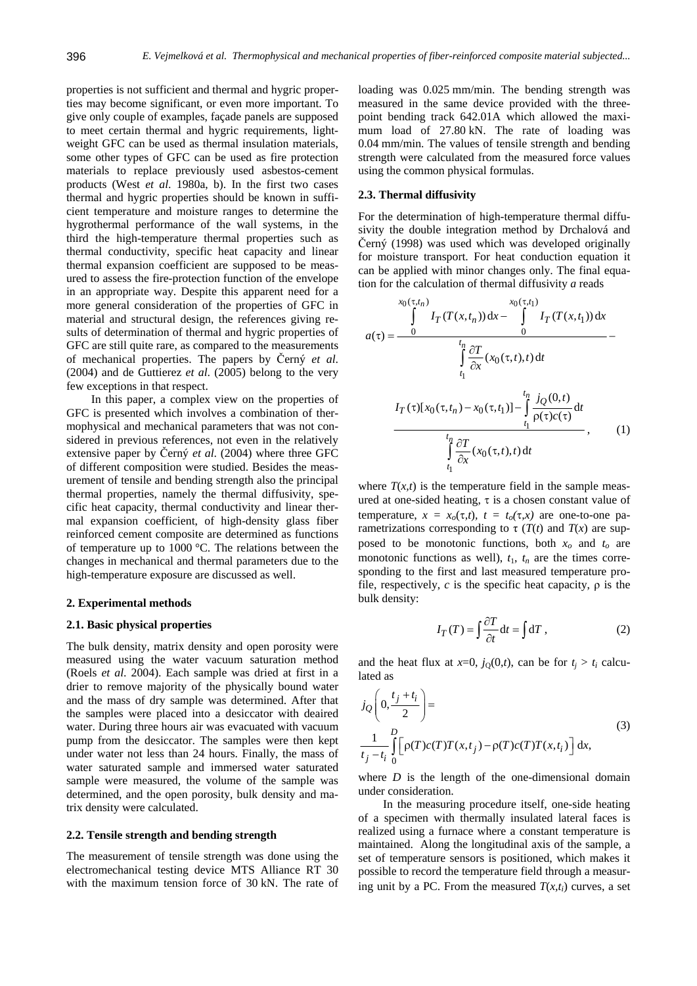properties is not sufficient and thermal and hygric properties may become significant, or even more important. To give only couple of examples, façade panels are supposed to meet certain thermal and hygric requirements, lightweight GFC can be used as thermal insulation materials, some other types of GFC can be used as fire protection materials to replace previously used asbestos-cement products (West *et al*. 1980a, b). In the first two cases thermal and hygric properties should be known in sufficient temperature and moisture ranges to determine the hygrothermal performance of the wall systems, in the third the high-temperature thermal properties such as thermal conductivity, specific heat capacity and linear thermal expansion coefficient are supposed to be measured to assess the fire-protection function of the envelope in an appropriate way. Despite this apparent need for a more general consideration of the properties of GFC in material and structural design, the references giving results of determination of thermal and hygric properties of GFC are still quite rare, as compared to the measurements of mechanical properties. The papers by Černý *et al*. (2004) and de Guttierez *et al*. (2005) belong to the very few exceptions in that respect.

In this paper, a complex view on the properties of GFC is presented which involves a combination of thermophysical and mechanical parameters that was not considered in previous references, not even in the relatively extensive paper by Černý *et al*. (2004) where three GFC of different composition were studied. Besides the measurement of tensile and bending strength also the principal thermal properties, namely the thermal diffusivity, specific heat capacity, thermal conductivity and linear thermal expansion coefficient, of high-density glass fiber reinforced cement composite are determined as functions of temperature up to 1000 °C. The relations between the changes in mechanical and thermal parameters due to the high-temperature exposure are discussed as well.

### **2. Experimental methods**

### **2.1. Basic physical properties**

The bulk density, matrix density and open porosity were measured using the water vacuum saturation method (Roels *et al*. 2004). Each sample was dried at first in a drier to remove majority of the physically bound water and the mass of dry sample was determined. After that the samples were placed into a desiccator with deaired water. During three hours air was evacuated with vacuum pump from the desiccator. The samples were then kept under water not less than 24 hours. Finally, the mass of water saturated sample and immersed water saturated sample were measured, the volume of the sample was determined, and the open porosity, bulk density and matrix density were calculated.

### **2.2. Tensile strength and bending strength**

The measurement of tensile strength was done using the electromechanical testing device MTS Alliance RT 30 with the maximum tension force of 30 kN. The rate of

loading was 0.025 mm/min. The bending strength was measured in the same device provided with the threepoint bending track 642.01A which allowed the maximum load of 27.80 kN. The rate of loading was 0.04 mm/min. The values of tensile strength and bending strength were calculated from the measured force values using the common physical formulas.

#### **2.3. Thermal diffusivity**

For the determination of high-temperature thermal diffusivity the double integration method by Drchalová and Černý (1998) was used which was developed originally for moisture transport. For heat conduction equation it can be applied with minor changes only. The final equation for the calculation of thermal diffusivity *a* reads

$$
a(\tau) = \frac{\int_{t_1}^{x_0(\tau,t_1)} I_T(T(x,t_1)) dx - \int_{0}^{x_0(\tau,t_1)} I_T(T(x,t_1)) dx}{\int_{t_1}^{t_1} \frac{\partial T}{\partial x}(x_0(\tau,t),t) dt} - \frac{\int_{t_1}^{t_1} \frac{\partial T}{\partial x}(x_0(\tau,t),t) dt}{\int_{t_1}^{t_1} \frac{\partial T}{\partial x}(x_0(\tau,t),t) dt}, \qquad (1)
$$

where  $T(x,t)$  is the temperature field in the sample measured at one-sided heating, τ is a chosen constant value of temperature,  $x = x<sub>o</sub>(\tau,t)$ ,  $t = t<sub>o</sub>(\tau,x)$  are one-to-one parametrizations corresponding to  $\tau(T(t))$  and  $T(x)$  are supposed to be monotonic functions, both  $x_0$  and  $t_0$  are monotonic functions as well),  $t_1$ ,  $t_n$  are the times corresponding to the first and last measured temperature profile, respectively,  $c$  is the specific heat capacity,  $\rho$  is the bulk density:

$$
I_T(T) = \int \frac{\partial T}{\partial t} dt = \int dT , \qquad (2)
$$

and the heat flux at  $x=0$ ,  $j_0(0,t)$ , can be for  $t_i > t_i$  calculated as

$$
j_Q\left(0, \frac{t_j + t_i}{2}\right) =
$$
  
\n
$$
\frac{1}{t_j - t_i} \int_0^D \left[\rho(T)c(T)T(x, t_j) - \rho(T)c(T)T(x, t_i)\right] dx,
$$
\n(3)

where *D* is the length of the one-dimensional domain under consideration.

In the measuring procedure itself, one-side heating of a specimen with thermally insulated lateral faces is realized using a furnace where a constant temperature is maintained. Along the longitudinal axis of the sample, a set of temperature sensors is positioned, which makes it possible to record the temperature field through a measuring unit by a PC. From the measured  $T(x,t_i)$  curves, a set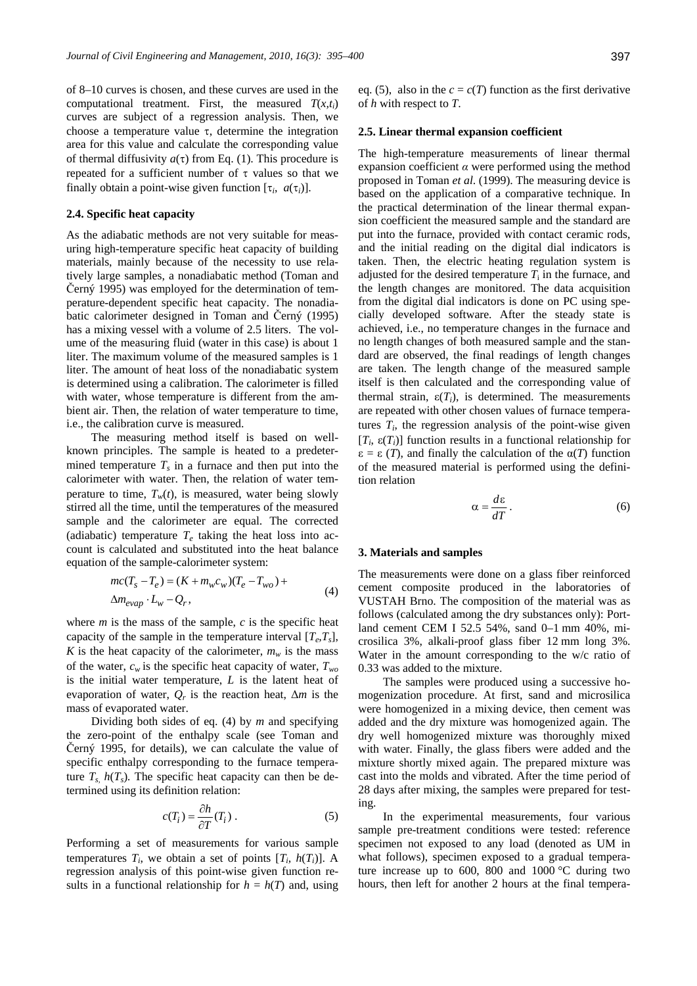of 8–10 curves is chosen, and these curves are used in the computational treatment. First, the measured  $T(x,t_i)$ curves are subject of a regression analysis. Then, we choose a temperature value τ, determine the integration area for this value and calculate the corresponding value of thermal diffusivity  $a(\tau)$  from Eq. (1). This procedure is repeated for a sufficient number of  $\tau$  values so that we finally obtain a point-wise given function  $[\tau_i, a(\tau_i)]$ .

## **2.4. Specific heat capacity**

As the adiabatic methods are not very suitable for measuring high-temperature specific heat capacity of building materials, mainly because of the necessity to use relatively large samples, a nonadiabatic method (Toman and Černý 1995) was employed for the determination of temperature-dependent specific heat capacity. The nonadiabatic calorimeter designed in Toman and Černý (1995) has a mixing vessel with a volume of 2.5 liters. The volume of the measuring fluid (water in this case) is about 1 liter. The maximum volume of the measured samples is 1 liter. The amount of heat loss of the nonadiabatic system is determined using a calibration. The calorimeter is filled with water, whose temperature is different from the ambient air. Then, the relation of water temperature to time, i.e., the calibration curve is measured.

The measuring method itself is based on wellknown principles. The sample is heated to a predetermined temperature  $T_s$  in a furnace and then put into the calorimeter with water. Then, the relation of water temperature to time,  $T_w(t)$ , is measured, water being slowly stirred all the time, until the temperatures of the measured sample and the calorimeter are equal. The corrected (adiabatic) temperature  $T_e$  taking the heat loss into account is calculated and substituted into the heat balance equation of the sample-calorimeter system:

$$
mc(T_s - T_e) = (K + m_w c_w)(T_e - T_{wo}) +
$$
  
\n
$$
\Delta m_{evap} \cdot L_w - Q_r,
$$
\n(4)

where  $m$  is the mass of the sample,  $c$  is the specific heat capacity of the sample in the temperature interval  $[T_e, T_s]$ , *K* is the heat capacity of the calorimeter,  $m_w$  is the mass of the water,  $c_w$  is the specific heat capacity of water,  $T_{wo}$ is the initial water temperature, *L* is the latent heat of evaporation of water,  $Q_r$  is the reaction heat,  $\Delta m$  is the mass of evaporated water.

Dividing both sides of eq. (4) by *m* and specifying the zero-point of the enthalpy scale (see Toman and Černý 1995, for details), we can calculate the value of specific enthalpy corresponding to the furnace temperature  $T_s$ ,  $h(T_s)$ . The specific heat capacity can then be determined using its definition relation:

$$
c(T_i) = \frac{\partial h}{\partial T}(T_i) \tag{5}
$$

Performing a set of measurements for various sample temperatures  $T_i$ , we obtain a set of points  $[T_i, h(T_i)]$ . A regression analysis of this point-wise given function results in a functional relationship for  $h = h(T)$  and, using eq. (5), also in the  $c = c(T)$  function as the first derivative of *h* with respect to *T*.

## **2.5. Linear thermal expansion coefficient**

The high-temperature measurements of linear thermal expansion coefficient  $\alpha$  were performed using the method proposed in Toman *et al*. (1999). The measuring device is based on the application of a comparative technique. In the practical determination of the linear thermal expansion coefficient the measured sample and the standard are put into the furnace, provided with contact ceramic rods, and the initial reading on the digital dial indicators is taken. Then, the electric heating regulation system is adjusted for the desired temperature  $T_i$  in the furnace, and the length changes are monitored. The data acquisition from the digital dial indicators is done on PC using specially developed software. After the steady state is achieved, i.e., no temperature changes in the furnace and no length changes of both measured sample and the standard are observed, the final readings of length changes are taken. The length change of the measured sample itself is then calculated and the corresponding value of thermal strain,  $\varepsilon(T_i)$ , is determined. The measurements are repeated with other chosen values of furnace temperatures  $T_i$ , the regression analysis of the point-wise given  $[T_i, \varepsilon(T_i)]$  function results in a functional relationship for  $\epsilon = \epsilon$  (*T*), and finally the calculation of the  $\alpha(T)$  function of the measured material is performed using the definition relation

$$
\alpha = \frac{d\varepsilon}{dT} \,. \tag{6}
$$

#### **3. Materials and samples**

The measurements were done on a glass fiber reinforced cement composite produced in the laboratories of VUSTAH Brno. The composition of the material was as follows (calculated among the dry substances only): Portland cement CEM I 52.5 54%, sand 0–1 mm 40%, microsilica 3%, alkali-proof glass fiber 12 mm long 3%. Water in the amount corresponding to the w/c ratio of 0.33 was added to the mixture.

The samples were produced using a successive homogenization procedure. At first, sand and microsilica were homogenized in a mixing device, then cement was added and the dry mixture was homogenized again. The dry well homogenized mixture was thoroughly mixed with water. Finally, the glass fibers were added and the mixture shortly mixed again. The prepared mixture was cast into the molds and vibrated. After the time period of 28 days after mixing, the samples were prepared for testing.

In the experimental measurements, four various sample pre-treatment conditions were tested: reference specimen not exposed to any load (denoted as UM in what follows), specimen exposed to a gradual temperature increase up to 600, 800 and 1000 °C during two hours, then left for another 2 hours at the final tempera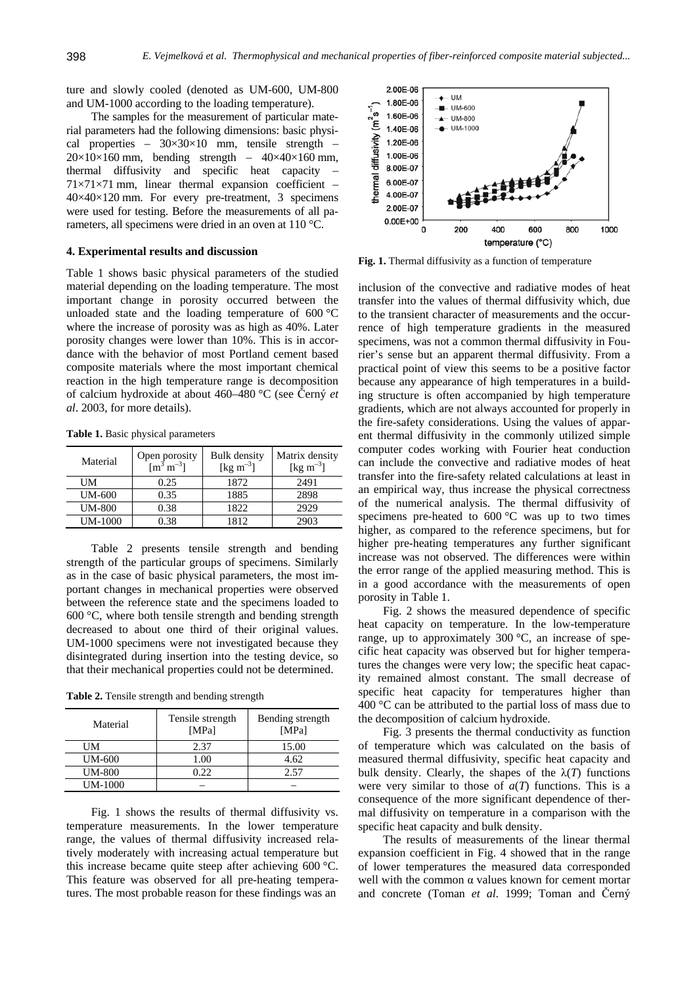ture and slowly cooled (denoted as UM-600, UM-800 and UM-1000 according to the loading temperature).

The samples for the measurement of particular material parameters had the following dimensions: basic physical properties –  $30 \times 30 \times 10$  mm, tensile strength –  $20\times10\times160$  mm, bending strength –  $40\times40\times160$  mm, thermal diffusivity and specific heat capacity – 71×71×71 mm, linear thermal expansion coefficient – 40×40×120 mm. For every pre-treatment, 3 specimens were used for testing. Before the measurements of all parameters, all specimens were dried in an oven at 110 °C.

# **4. Experimental results and discussion**

Table 1 shows basic physical parameters of the studied material depending on the loading temperature. The most important change in porosity occurred between the unloaded state and the loading temperature of 600 °C where the increase of porosity was as high as 40%. Later porosity changes were lower than 10%. This is in accordance with the behavior of most Portland cement based composite materials where the most important chemical reaction in the high temperature range is decomposition of calcium hydroxide at about 460–480 °C (see Černý *et al*. 2003, for more details).

**Table 1.** Basic physical parameters

| Material       | Open porosity<br>$\mathrm{m}^3 \mathrm{m}^{-3}$ | <b>Bulk</b> density<br>[kg m <sup>-3</sup> ] | Matrix density<br>[kg m <sup>-3</sup> ] |
|----------------|-------------------------------------------------|----------------------------------------------|-----------------------------------------|
| UМ             | 0.25                                            | 1872                                         | 2491                                    |
| UM-600         | 0.35                                            | 1885                                         | 2898                                    |
| <b>UM-800</b>  | 0.38                                            | 1822                                         | 2929                                    |
| <b>UM-1000</b> | 0.38                                            | 1812                                         | 2903                                    |

Table 2 presents tensile strength and bending strength of the particular groups of specimens. Similarly as in the case of basic physical parameters, the most important changes in mechanical properties were observed between the reference state and the specimens loaded to 600 °C, where both tensile strength and bending strength decreased to about one third of their original values. UM-1000 specimens were not investigated because they disintegrated during insertion into the testing device, so that their mechanical properties could not be determined.

**Table 2.** Tensile strength and bending strength

| Material      | Tensile strength<br>[MPa] | Bending strength<br>[MPa] |
|---------------|---------------------------|---------------------------|
| UМ            | 2.37                      | 15.00                     |
| UM-600        | 1.00                      | 4.62                      |
| <b>UM-800</b> | 1.22.                     | 2.57                      |
| UM-1000       |                           |                           |

Fig. 1 shows the results of thermal diffusivity vs. temperature measurements. In the lower temperature range, the values of thermal diffusivity increased relatively moderately with increasing actual temperature but this increase became quite steep after achieving 600 °C. This feature was observed for all pre-heating temperatures. The most probable reason for these findings was an



**Fig. 1.** Thermal diffusivity as a function of temperature

inclusion of the convective and radiative modes of heat transfer into the values of thermal diffusivity which, due to the transient character of measurements and the occurrence of high temperature gradients in the measured specimens, was not a common thermal diffusivity in Fourier's sense but an apparent thermal diffusivity. From a practical point of view this seems to be a positive factor because any appearance of high temperatures in a building structure is often accompanied by high temperature gradients, which are not always accounted for properly in the fire-safety considerations. Using the values of apparent thermal diffusivity in the commonly utilized simple computer codes working with Fourier heat conduction can include the convective and radiative modes of heat transfer into the fire-safety related calculations at least in an empirical way, thus increase the physical correctness of the numerical analysis. The thermal diffusivity of specimens pre-heated to  $600\,^{\circ}\text{C}$  was up to two times higher, as compared to the reference specimens, but for higher pre-heating temperatures any further significant increase was not observed. The differences were within the error range of the applied measuring method. This is in a good accordance with the measurements of open porosity in Table 1.

Fig. 2 shows the measured dependence of specific heat capacity on temperature. In the low-temperature range, up to approximately 300 °C, an increase of specific heat capacity was observed but for higher temperatures the changes were very low; the specific heat capacity remained almost constant. The small decrease of specific heat capacity for temperatures higher than 400 °C can be attributed to the partial loss of mass due to the decomposition of calcium hydroxide.

Fig. 3 presents the thermal conductivity as function of temperature which was calculated on the basis of measured thermal diffusivity, specific heat capacity and bulk density. Clearly, the shapes of the  $\lambda(T)$  functions were very similar to those of  $a(T)$  functions. This is a consequence of the more significant dependence of thermal diffusivity on temperature in a comparison with the specific heat capacity and bulk density.

The results of measurements of the linear thermal expansion coefficient in Fig. 4 showed that in the range of lower temperatures the measured data corresponded well with the common  $\alpha$  values known for cement mortar and concrete (Toman *et al*. 1999; Toman and Černý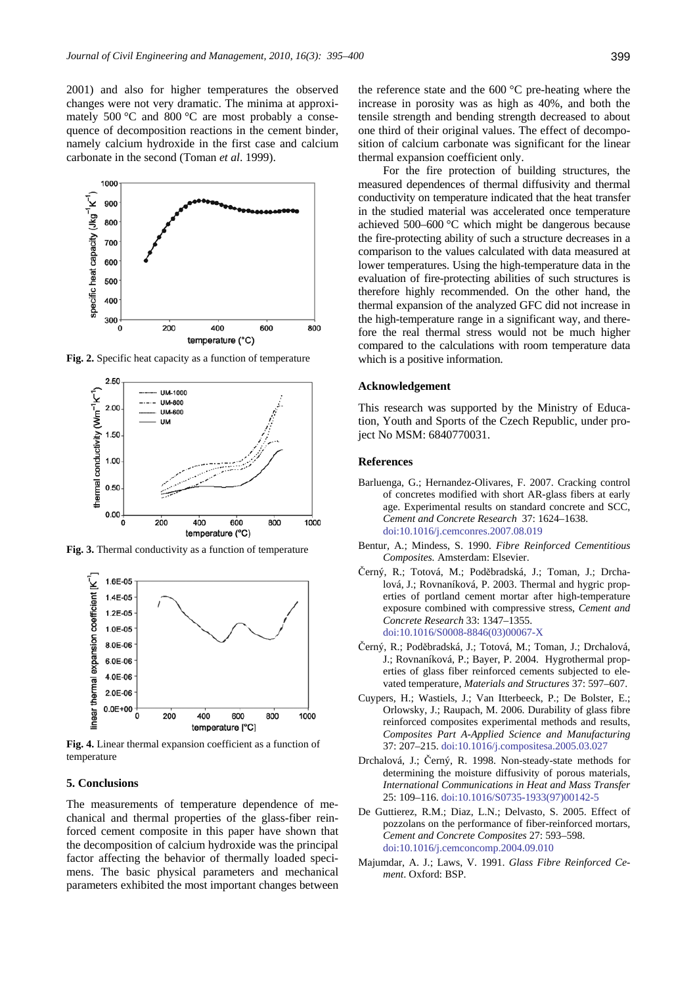2001) and also for higher temperatures the observed changes were not very dramatic. The minima at approximately 500 °C and 800 °C are most probably a consequence of decomposition reactions in the cement binder, namely calcium hydroxide in the first case and calcium carbonate in the second (Toman *et al*. 1999).



**Fig. 2.** Specific heat capacity as a function of temperature



**Fig. 3.** Thermal conductivity as a function of temperature



**Fig. 4.** Linear thermal expansion coefficient as a function of temperature

# **5. Conclusions**

The measurements of temperature dependence of mechanical and thermal properties of the glass-fiber reinforced cement composite in this paper have shown that the decomposition of calcium hydroxide was the principal factor affecting the behavior of thermally loaded specimens. The basic physical parameters and mechanical parameters exhibited the most important changes between the reference state and the 600 °C pre-heating where the increase in porosity was as high as 40%, and both the tensile strength and bending strength decreased to about one third of their original values. The effect of decomposition of calcium carbonate was significant for the linear thermal expansion coefficient only.

For the fire protection of building structures, the measured dependences of thermal diffusivity and thermal conductivity on temperature indicated that the heat transfer in the studied material was accelerated once temperature achieved 500–600 °C which might be dangerous because the fire-protecting ability of such a structure decreases in a comparison to the values calculated with data measured at lower temperatures. Using the high-temperature data in the evaluation of fire-protecting abilities of such structures is therefore highly recommended. On the other hand, the thermal expansion of the analyzed GFC did not increase in the high-temperature range in a significant way, and therefore the real thermal stress would not be much higher compared to the calculations with room temperature data which is a positive information.

### **Acknowledgement**

This research was supported by the Ministry of Education, Youth and Sports of the Czech Republic, under project No MSM: 6840770031.

#### **References**

- Barluenga, G.; Hernandez-Olivares, F. 2007. Cracking control of concretes modified with short AR-glass fibers at early age. Experimental results on standard concrete and SCC, *Cement and Concrete Research* 37: 1624–1638. [doi:10.1016/j.cemconres.2007.08.019](http://dx.doi.org/10.1016/j.cemconres.2007.08.019)
- Bentur, A.; Mindess, S. 1990. *Fibre Reinforced Cementitious Composites.* Amsterdam: Elsevier.
- Černý, R.; Totová, M.; Poděbradská, J.; Toman, J.; Drchalová, J.; Rovnaníková, P. 2003. Thermal and hygric properties of portland cement mortar after high-temperature exposure combined with compressive stress, *Cement and Concrete Research* 33: 1347–1355. [doi:10.1016/S0008-8846\(03\)00067-X](http://dx.doi.org/10.1016/S0008-8846(03)00067-X)
- Černý, R.; Poděbradská, J.; Totová, M.; Toman, J.; Drchalová, J.; Rovnaníková, P.; Bayer, P. 2004. Hygrothermal properties of glass fiber reinforced cements subjected to elevated temperature, *Materials and Structures* 37: 597–607.
- Cuypers, H.; Wastiels, J.; Van Itterbeeck, P.; De Bolster, E.; Orlowsky, J.; Raupach, M. 2006. Durability of glass fibre reinforced composites experimental methods and results, *Composites Part A-Applied Science and Manufacturing* 37: 207–215. [doi:10.1016/j.compositesa.2005.03.027](http://dx.doi.org/10.1016/j.compositesa.2005.03.027)
- Drchalová, J.; Černý, R. 1998. Non-steady-state methods for determining the moisture diffusivity of porous materials, *International Communications in Heat and Mass Transfer* 25: 109–116. [doi:10.1016/S0735-1933\(97\)00142-5](http://dx.doi.org/10.1016/S0735-1933(97)00142-5)
- De Guttierez, R.M.; Diaz, L.N.; Delvasto, S. 2005. Effect of pozzolans on the performance of fiber-reinforced mortars, *Cement and Concrete Composites* 27: 593–598. [doi:10.1016/j.cemconcomp.2004.09.010](http://dx.doi.org/10.1016/j.cemconcomp.2004.09.010)
- Majumdar, A. J.; Laws, V. 1991. *Glass Fibre Reinforced Cement*. Oxford: BSP.